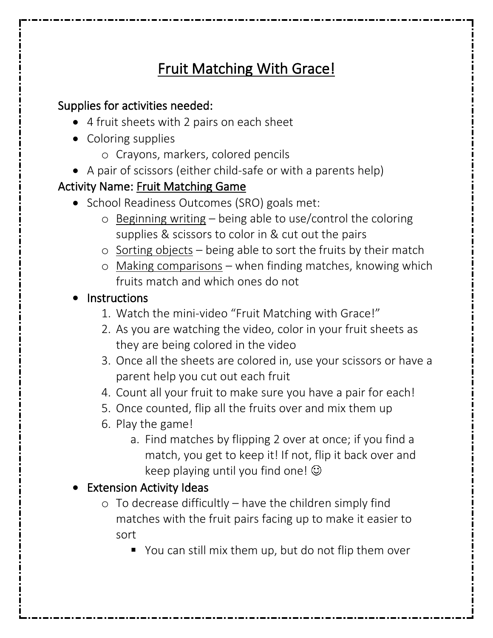## Fruit Matching With Grace!

## Supplies for activities needed:

- 4 fruit sheets with 2 pairs on each sheet
- Coloring supplies
	- o Crayons, markers, colored pencils
- A pair of scissors (either child-safe or with a parents help)

## Activity Name: Fruit Matching Game

- School Readiness Outcomes (SRO) goals met:
	- o Beginning writing being able to use/control the coloring supplies & scissors to color in & cut out the pairs
	- o Sorting objects being able to sort the fruits by their match
	- o Making comparisons when finding matches, knowing which fruits match and which ones do not
- **Instructions** 
	- 1. Watch the mini-video "Fruit Matching with Grace!"
	- 2. As you are watching the video, color in your fruit sheets as they are being colored in the video
	- 3. Once all the sheets are colored in, use your scissors or have a parent help you cut out each fruit
	- 4. Count all your fruit to make sure you have a pair for each!
	- 5. Once counted, flip all the fruits over and mix them up
	- 6. Play the game!
		- a. Find matches by flipping 2 over at once; if you find a match, you get to keep it! If not, flip it back over and keep playing until you find one!

## • Extension Activity Ideas

- o To decrease difficultly have the children simply find matches with the fruit pairs facing up to make it easier to sort
	- You can still mix them up, but do not flip them over